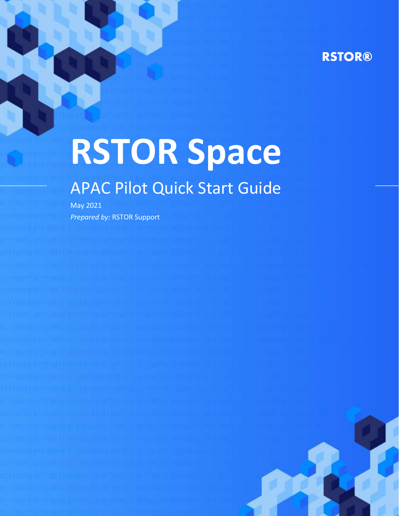# **RSTOR®**

# **RSTOR Space**

# APAC Pilot Quick Start Guide

May 2021 *Prepared by:* RSTOR Support

rstor.io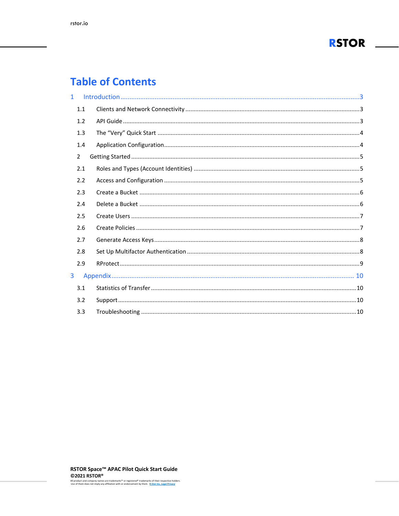

# **Table of Contents**

| $\mathbf{1}$ |                |  |
|--------------|----------------|--|
|              | 1.1            |  |
|              | 1.2            |  |
|              | 1.3            |  |
|              | 1.4            |  |
|              | $\overline{2}$ |  |
|              | 2.1            |  |
|              | 2.2            |  |
|              | 2.3            |  |
|              | 2.4            |  |
|              | 2.5            |  |
|              | 2.6            |  |
|              | 2.7            |  |
|              | 2.8            |  |
|              | 2.9            |  |
| 3            |                |  |
|              | 3.1            |  |
|              | 3.2            |  |
|              | 3.3            |  |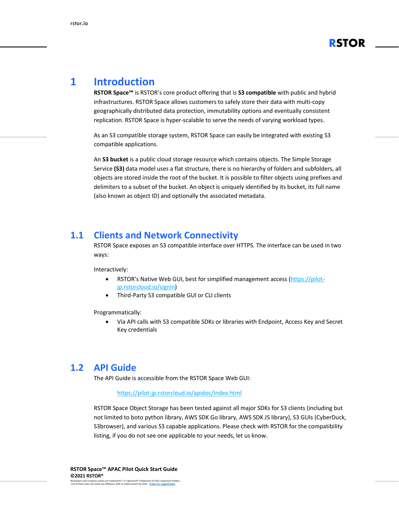

# <span id="page-2-0"></span>**1 Introduction**

**RSTOR Space™** is RSTOR's core product offering that is **S3 compatible** with public and hybrid infrastructures. RSTOR Space allows customers to safely store their data with multi-copy geographically distributed data protection, immutability options and eventually consistent replication. RSTOR Space is hyper-scalable to serve the needs of varying workload types.

As an S3 compatible storage system, RSTOR Space can easily be integrated with existing S3 compatible applications.

An **S3 bucket** is a public cloud storage resource which contains objects. The Simple Storage Service **(S3)** data model uses a flat structure, there is no hierarchy of folders and subfolders, all objects are stored inside the root of the bucket. It is possible to filter objects using prefixes and delimiters to a subset of the bucket. An object is uniquely identified by its bucket, its full name (also known as object ID) and optionally the associated metadata.

#### <span id="page-2-1"></span>**1.1 Clients and Network Connectivity**

RSTOR Space exposes an S3 compatible interface over HTTPS. The interface can be used in two ways:

Interactively:

- RSTOR's Native Web GUI, best for simplified management access [\(https://pilot](https://pilot-jp.rstorcloud.io/signin)[jp.rstorcloud.io/signin\)](https://pilot-jp.rstorcloud.io/signin)
- Third-Party S3 compatible GUI or CLI clients

Programmatically:

• Via API calls with S3 compatible SDKs or libraries with Endpoint, Access Key and Secret Key credentials

#### <span id="page-2-2"></span>**1.2 API Guide**

The API Guide is accessible from the RSTOR Space Web GUI:

#### <https://pilot-jp.rstorcloud.io/apidoc/index.html>

RSTOR Space Object Storage has been tested against all major SDKs for S3 clients (including but not limited to boto python library, AWS SDK Go library, AWS SDK JS library), S3 GUIs (CyberDuck, S3browser), and various S3 capable applications. Please check with RSTOR for the compatibility listing, if you do not see one applicable to your needs, let us know.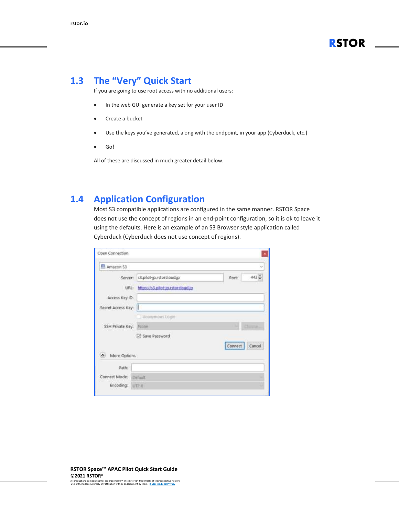

#### <span id="page-3-0"></span>**1.3 The "Very" Quick Start**

If you are going to use root access with no additional users:

- In the web GUI generate a key set for your user ID
- Create a bucket
- Use the keys you've generated, along with the endpoint, in your app (Cyberduck, etc.)
- Go!

All of these are discussed in much greater detail below.

#### <span id="page-3-1"></span>**1.4 Application Configuration**

Most S3 compatible applications are configured in the same manner. RSTOR Space does not use the concept of regions in an end-point configuration, so it is ok to leave it using the defaults. Here is an example of an S3 Browser style application called Cyberduck (Cyberduck does not use concept of regions).

| Amazon 53          |                                   |         | v         |
|--------------------|-----------------------------------|---------|-----------|
| Server:            | s3.pilot-jp.rstorcloud.jp         | Port    | $443 -$   |
| URL:               | https://s3.pilot-jp.rstorcloud.jp |         |           |
| Access Key ID:     |                                   |         |           |
| Secret Access Key: | Ш                                 |         |           |
|                    | Anonymous Login                   |         |           |
| SSH Private Key:   | None                              |         | Director. |
|                    | 5 Save Password                   |         |           |
|                    |                                   | Connect | Cancel    |
| More Options       |                                   |         |           |
| Path:              |                                   |         |           |
| Connect Mode:      | Default                           |         |           |
| Encoding: UTF-8    |                                   |         |           |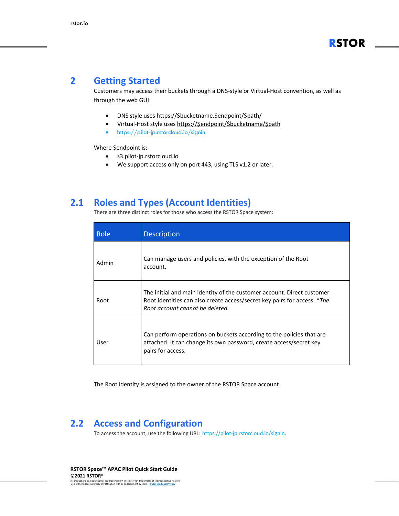#### <span id="page-4-0"></span>**2 Getting Started**

Customers may access their buckets through a DNS-style or Virtual-Host convention, as well as through the web GUI:

- DNS style uses https://\$bucketname.\$endpoint/\$path/
- Virtual-Host style uses [https://\\$endpoint/\\$bucketname/\\$path](https://$endpoint/$bucketname/$path)
- <https://pilot-jp.rstorcloud.io/signin>

Where \$endpoint is:

- s3.pilot-jp.rstorcloud.io
- We support access only on port 443, using TLS v1.2 or later.

#### <span id="page-4-1"></span>**2.1 Roles and Types (Account Identities)**

There are three distinct roles for those who access the RSTOR Space system:

| <b>Role</b> | <b>Description</b>                                                                                                                                                                    |
|-------------|---------------------------------------------------------------------------------------------------------------------------------------------------------------------------------------|
| Admin       | Can manage users and policies, with the exception of the Root<br>account.                                                                                                             |
| Root        | The initial and main identity of the customer account. Direct customer<br>Root identities can also create access/secret key pairs for access. *The<br>Root account cannot be deleted. |
| User        | Can perform operations on buckets according to the policies that are<br>attached. It can change its own password, create access/secret key<br>pairs for access.                       |

The Root identity is assigned to the owner of the RSTOR Space account.

#### <span id="page-4-2"></span>**2.2 Access and Configuration**

To access the account, use the following URL: [https://pilot-jp.rstorcloud.io/signin.](https://pilot-jp.rstorcloud.io/signin)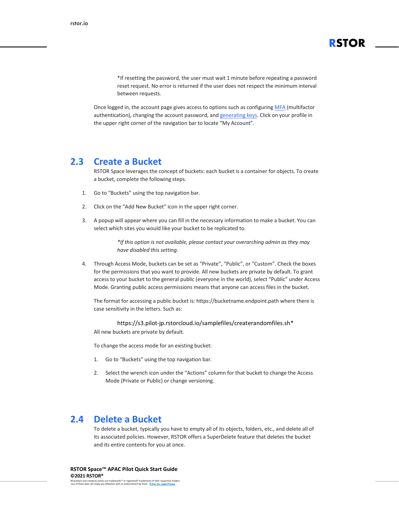\*If resetting the password, the user must wait 1 minute before repeating a password reset request. No error is returned if the user does not respect the minimum interval between requests.

**RSTOR**

Once logged in, the account page gives access to options such as configuring MFA [\(multifactor](#page-7-2) [authentication\),](#page-7-2) changing the account password, and [generating](#page-7-3) keys. Click on your profile in the upper right corner of the navigation bar to locate "My Account".

#### <span id="page-5-0"></span>**2.3 Create a Bucket**

RSTOR Space leverages the concept of buckets: each bucket is a container for objects. To create a bucket, complete the following steps.

- 1. Go to "Buckets" using the top navigation bar.
- 2. Click on the "Add New Bucket" icon in the upper right corner.
- 3. A popup will appear where you can fill in the necessary information to make a bucket. You can select which sites you would like your bucket to be replicated to.

*\*If this option is not available, please contact your overarching admin as they may have disabled this setting.*

4. Through Access Mode, buckets can be set as "Private", "Public", or "Custom". Check the boxes for the permissions that you want to provide. All new buckets are private by default. To grant access to your bucket to the general public (everyone in the world), select "Public" under Access Mode. Granting public access permissions means that anyone can access files in the bucket.

The format for accessing a public bucket is: https://bucketname.endpoint.path where there is case sensitivity in the letters. Such as:

https://s3.pilot-jp.rstorcloud.io/samplefiles/createrandomfiles.sh\* All new buckets are private by default.

To change the access mode for an existing bucket:

- 1. Go to "Buckets" using the top navigation bar.
- 2. Select the wrench icon under the "Actions" column for that bucket to change the Access Mode (Private or Public) or change versioning.

#### <span id="page-5-1"></span>**2.4 Delete a Bucket**

To delete a bucket, typically you have to empty all of its objects, folders, etc., and delete all of its associated policies. However, RSTOR offers a SuperDelete feature that deletes the bucket and its entire contents for you at once.

**RSTOR Space™ APAC Pilot Quick Start Guide ©2021 RSTOR®**

All product and company names are trademarks™ or registered® trademarks of their respective holders. Use of them does not imply any affiliation with or endorsement by them. **R-Stor Inc. [Legal Privacy](https://www.rstor.io/legal-privacy/)**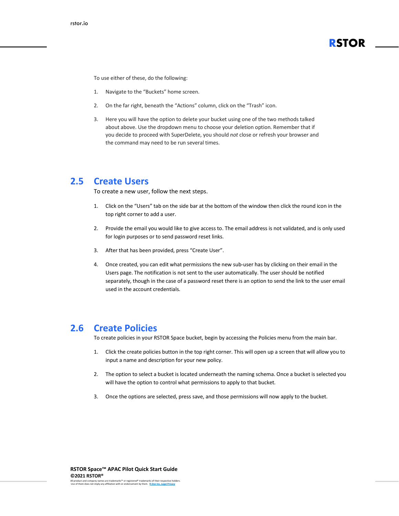To use either of these, do the following:

- 1. Navigate to the "Buckets" home screen.
- 2. On the far right, beneath the "Actions" column, click on the "Trash" icon.
- 3. Here you will have the option to delete your bucket using one of the two methods talked about above. Use the dropdown menu to choose your deletion option. Remember that if you decide to proceed with SuperDelete, you should *not* close or refresh your browser and the command may need to be run several times.

#### <span id="page-6-0"></span>**2.5 Create Users**

To create a new user, follow the next steps.

- 1. Click on the "Users" tab on the side bar at the bottom of the window then click the round icon in the top right corner to add a user.
- 2. Provide the email you would like to give access to. The email address is not validated, and is only used for login purposes or to send password reset links.
- 3. After that has been provided, press "Create User".
- 4. Once created, you can edit what permissions the new sub-user has by clicking on their email in the Users page. The notification is not sent to the user automatically. The user should be notified separately, though in the case of a password reset there is an option to send the link to the user email used in the account credentials.

#### <span id="page-6-1"></span>**2.6 Create Policies**

To create policies in your RSTOR Space bucket, begin by accessing the Policies menu from the main bar.

- 1. Click the create policies button in the top right corner. This will open up a screen that will allow you to input a name and description for your new policy.
- 2. The option to select a bucket is located underneath the naming schema. Once a bucket is selected you will have the option to control what permissions to apply to that bucket.
- 3. Once the options are selected, press save, and those permissions will now apply to the bucket.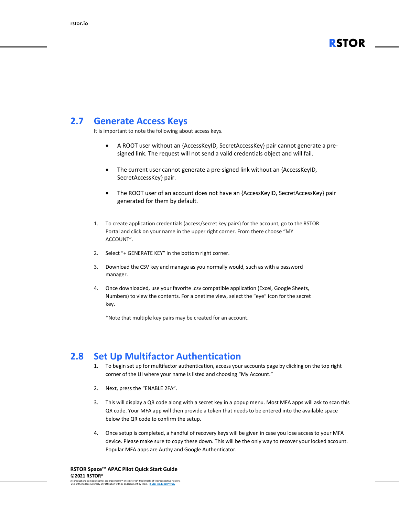### **RSTOR**

#### <span id="page-7-3"></span><span id="page-7-0"></span>**2.7 Generate Access Keys**

It is important to note the following about access keys.

- A ROOT user without an {AccessKeyID, SecretAccessKey} pair cannot generate a presigned link. The request will not send a valid credentials object and will fail.
- The current user cannot generate a pre-signed link without an {AccessKeyID, SecretAccessKey} pair.
- The ROOT user of an account does not have an {AccessKeyID, SecretAccessKey} pair generated for them by default.
- 1. To create application credentials (access/secret key pairs) for the account, go to the RSTOR Portal and click on your name in the upper right corner. From there choose "MY ACCOUNT".
- 2. Select "+ GENERATE KEY" in the bottom right corner.
- 3. Download the CSV key and manage as you normally would, such as with a password manager.
- 4. Once downloaded, use your favorite .csv compatible application (Excel, Google Sheets, Numbers) to view the contents. For a onetime view, select the "eye" icon for the secret key.

\*Note that multiple key pairs may be created for an account.

#### <span id="page-7-1"></span>**2.8 Set Up Multifactor Authentication**

- <span id="page-7-2"></span>1. To begin set up for multifactor authentication, access your accounts page by clicking on the top right corner of the UI where your name is listed and choosing "My Account."
- 2. Next, press the "ENABLE 2FA".
- 3. This will display a QR code along with a secret key in a popup menu. Most MFA apps will ask to scan this QR code. Your MFA app will then provide a token that needs to be entered into the available space below the QR code to confirm the setup.
- 4. Once setup is completed, a handful of recovery keys will be given in case you lose access to your MFA device. Please make sure to copy these down. This will be the only way to recover your locked account. Popular MFA apps are Authy and Google Authenticator.

**RSTOR Space™ APAC Pilot Quick Start Guide ©2021 RSTOR®**

All product and company names are trademarks™ or registered® trademarks of their respective holders. Use of them does not imply any affiliation with or endorsement by them. **R-Stor Inc. [Legal Privacy](https://www.rstor.io/legal-privacy/)**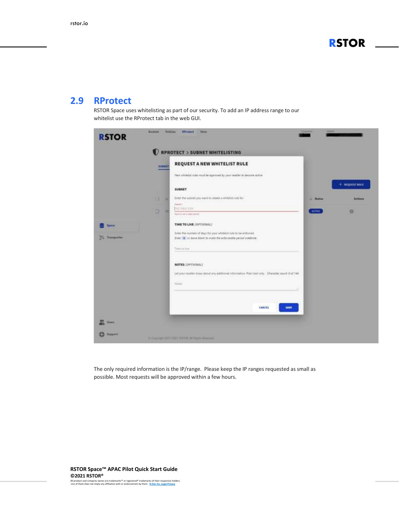**RSTOR**

#### <span id="page-8-0"></span>**2.9 RProtect**

RSTOR Space uses whitelisting as part of our security. To add an IP address range to our whitelist use the RProtect tab in the web GUI.

|                                   | <b>SUBSET</b> | RPROTECT > SUBNET WHITELISTING<br>REQUEST A NEW WHITELIST RULE                                                                                                                                        |               |                         |
|-----------------------------------|---------------|-------------------------------------------------------------------------------------------------------------------------------------------------------------------------------------------------------|---------------|-------------------------|
|                                   |               | Were whiteliat miles must be eggmered by your reseller to become active.<br>in the company of the company of the company of the company of the company of the company of the company of the<br>SUBNET |               | $+$ <b>NEQUEST NULL</b> |
|                                   | o<br>٠        | Enter the subrett you want to create a whitefact rule for<br><b>Summer</b> 1                                                                                                                          | <b>Shatun</b> | Actions                 |
|                                   | a<br>и        | THE THILL LEEK<br>Agent is not a called subject                                                                                                                                                       | <b>ACTIVE</b> | a                       |
| <b>System</b>                     |               | TIME TO LIVE (OPTIONAL)                                                                                                                                                                               |               |                         |
| <b><i>Statement for</i></b><br>29 |               | Enter the number of days for your whitelist rule to be enforced.<br>Enter # or leave himit to inclie the enforceable period indefinite.<br>Time to this                                               |               |                         |
|                                   |               | NOTES (OPTIONAL)<br>Let your reseller know about any additional information. Plan text only. Cherocte: caunt 0 of 144.<br><u>wa mata wa m</u> u<br>Norm                                               |               |                         |
|                                   |               | CANCEL<br>SAVE                                                                                                                                                                                        |               |                         |
| <b>Users</b>                      |               |                                                                                                                                                                                                       |               |                         |

The only required information is the IP/range. Please keep the IP ranges requested as small as possible. Most requests will be approved within a few hours.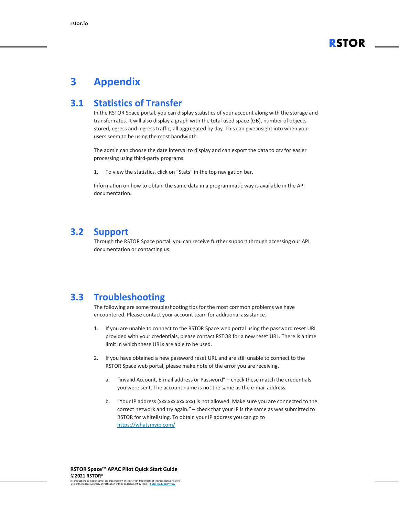

## <span id="page-9-0"></span>**3 Appendix**

#### <span id="page-9-1"></span>**3.1 Statistics of Transfer**

In the RSTOR Space portal, you can display statistics of your account along with the storage and transfer rates. It will also display a graph with the total used space (GB), number of objects stored, egress and ingress traffic, all aggregated by day. This can give insight into when your users seem to be using the most bandwidth.

The admin can choose the date interval to display and can export the data to csv for easier processing using third-party programs.

1. To view the statistics, click on "Stats" in the top navigation bar.

Information on how to obtain the same data in a programmatic way is available in the API documentation.

#### <span id="page-9-2"></span>**3.2 Support**

Through the RSTOR Space portal, you can receive further support through accessing our API documentation or contacting us.

#### <span id="page-9-3"></span>**3.3 Troubleshooting**

The following are some troubleshooting tips for the most common problems we have encountered. Please contact your account team for additional assistance.

- 1. If you are unable to connect to the RSTOR Space web portal using the password reset URL provided with your credentials, please contact RSTOR for a new reset URL. There is a time limit in which these URLs are able to be used.
- 2. If you have obtained a new password reset URL and are still unable to connect to the RSTOR Space web portal, please make note of the error you are receiving.
	- a. "invalid Account, E-mail address or Password" check these match the credentials you were sent. The account name is not the same as the e-mail address.
	- b. "Your IP address (xxx.xxx.xxx.xxx) is not allowed. Make sure you are connected to the correct network and try again." – check that your IP is the same as was submitted to RSTOR for whitelisting. To obtain your IP address you can go to <https://whatsmyip.com/>